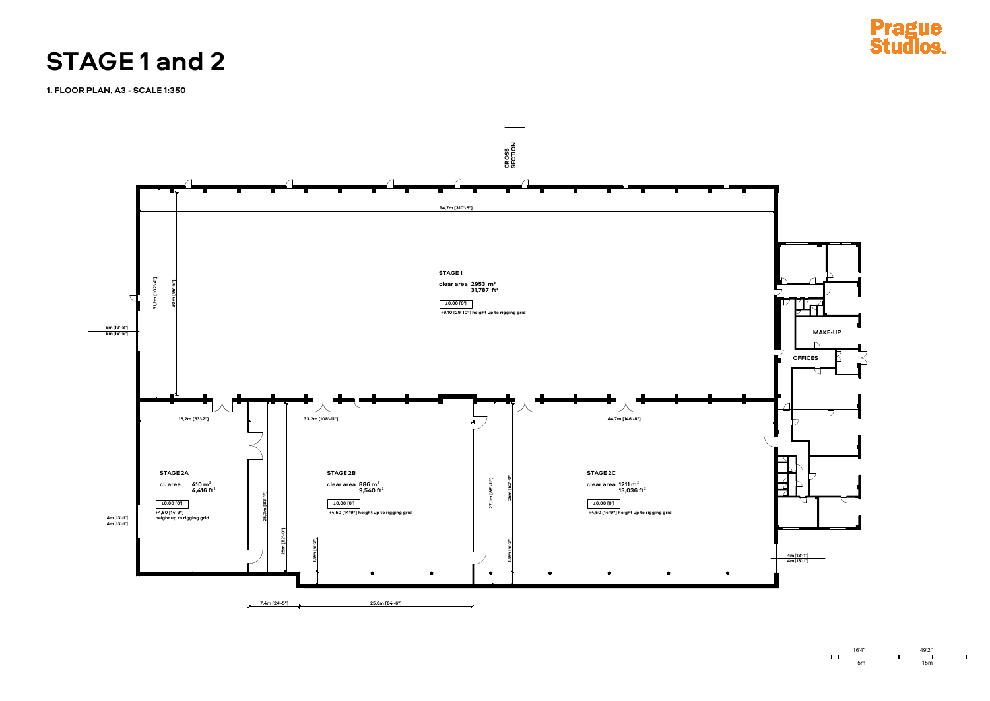



**1. FLOOR PLAN, A3 - SCALE 1:350**

## **STAGE 1 and 2**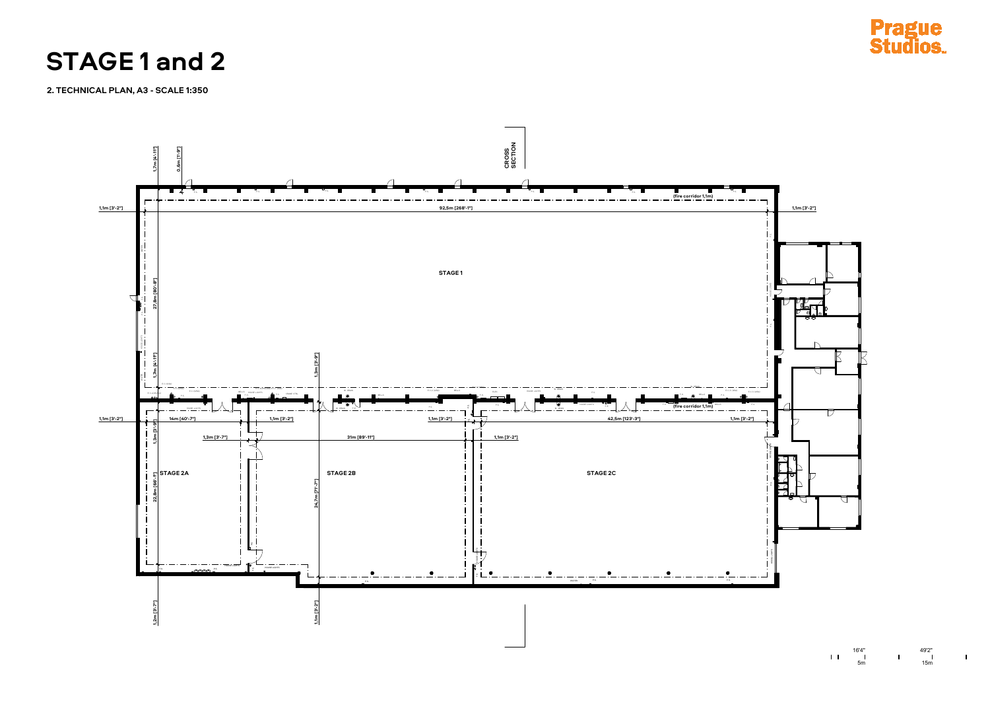



 $\frac{49'2''}{15m}$  1

**2. TECHNICAL PLAN, A3 - SCALE 1:350**

## **STAGE 1 and 2**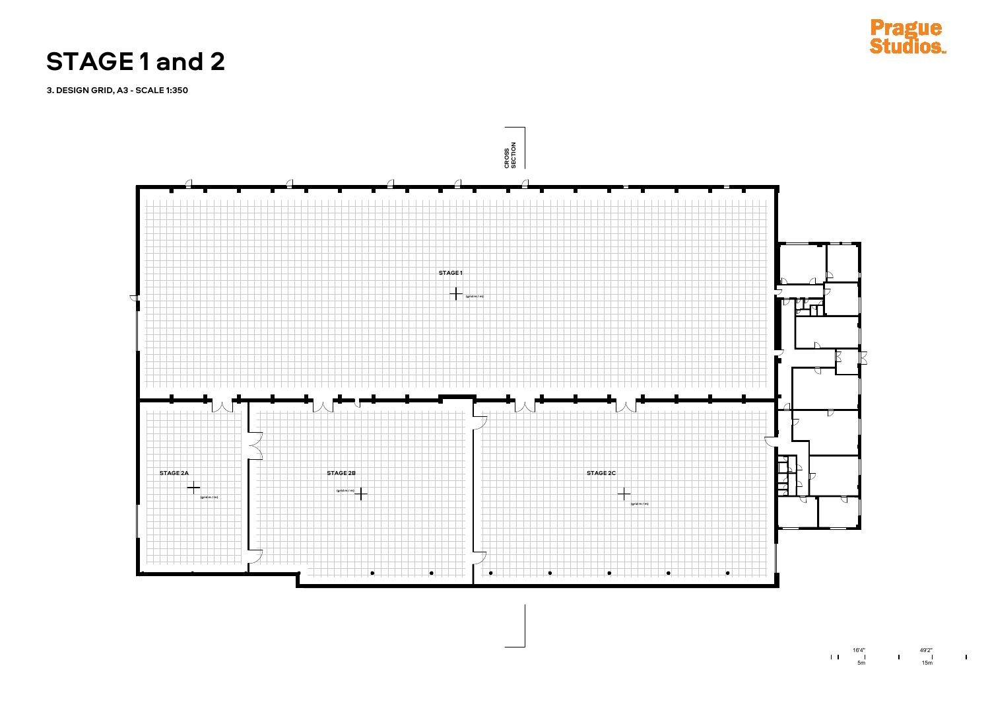





 $\mathbf{I}$ 

**3. DESIGN GRID, A3 - SCALE 1:350**

## **STAGE 1 and 2**